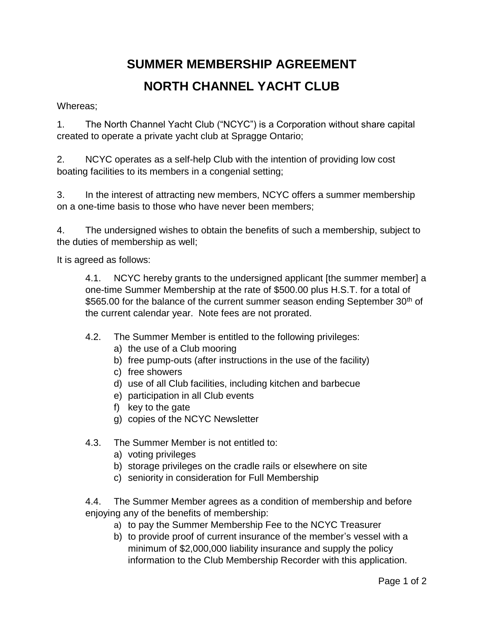## **SUMMER MEMBERSHIP AGREEMENT NORTH CHANNEL YACHT CLUB**

Whereas;

1. The North Channel Yacht Club ("NCYC") is a Corporation without share capital created to operate a private yacht club at Spragge Ontario;

2. NCYC operates as a self-help Club with the intention of providing low cost boating facilities to its members in a congenial setting;

3. In the interest of attracting new members, NCYC offers a summer membership on a one-time basis to those who have never been members;

4. The undersigned wishes to obtain the benefits of such a membership, subject to the duties of membership as well;

It is agreed as follows:

4.1. NCYC hereby grants to the undersigned applicant [the summer member] a one-time Summer Membership at the rate of \$500.00 plus H.S.T. for a total of \$565.00 for the balance of the current summer season ending September 30<sup>th</sup> of the current calendar year. Note fees are not prorated.

- 4.2. The Summer Member is entitled to the following privileges:
	- a) the use of a Club mooring
	- b) free pump-outs (after instructions in the use of the facility)
	- c) free showers
	- d) use of all Club facilities, including kitchen and barbecue
	- e) participation in all Club events
	- f) key to the gate
	- g) copies of the NCYC Newsletter
- 4.3. The Summer Member is not entitled to:
	- a) voting privileges
	- b) storage privileges on the cradle rails or elsewhere on site
	- c) seniority in consideration for Full Membership

4.4. The Summer Member agrees as a condition of membership and before enjoying any of the benefits of membership:

- a) to pay the Summer Membership Fee to the NCYC Treasurer
- b) to provide proof of current insurance of the member's vessel with a minimum of \$2,000,000 liability insurance and supply the policy information to the Club Membership Recorder with this application.